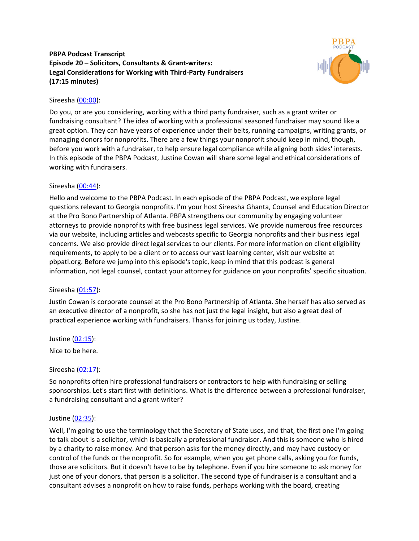# **PBPA Podcast Transcript Episode 20 – Solicitors, Consultants & Grant-writers: Legal Considerations for Working with Third-Party Fundraisers (17:15 minutes)**



# Sireesha [\(00:00\)](https://www.temi.com/editor/t/AqjAB9tSeag1WzGFkgA18z9TDHpH_TFtKa591dsf5fPN6saXBdWTDqB9VftJAVq5uZCQPtiGvF8VYl15AM4oJDO2Jzc?loadFrom=DocumentDeeplink&ts=0.63):

Do you, or are you considering, working with a third party fundraiser, such as a grant writer or fundraising consultant? The idea of working with a professional seasoned fundraiser may sound like a great option. They can have years of experience under their belts, running campaigns, writing grants, or managing donors for nonprofits. There are a few things your nonprofit should keep in mind, though, before you work with a fundraiser, to help ensure legal compliance while aligning both sides' interests. In this episode of the PBPA Podcast, Justine Cowan will share some legal and ethical considerations of working with fundraisers.

# Sireesha [\(00:44\)](https://www.temi.com/editor/t/AqjAB9tSeag1WzGFkgA18z9TDHpH_TFtKa591dsf5fPN6saXBdWTDqB9VftJAVq5uZCQPtiGvF8VYl15AM4oJDO2Jzc?loadFrom=DocumentDeeplink&ts=44.9):

Hello and welcome to the PBPA Podcast. In each episode of the PBPA Podcast, we explore legal questions relevant to Georgia nonprofits. I'm your host Sireesha Ghanta, Counsel and Education Director at the Pro Bono Partnership of Atlanta. PBPA strengthens our community by engaging volunteer attorneys to provide nonprofits with free business legal services. We provide numerous free resources via our website, including articles and webcasts specific to Georgia nonprofits and their business legal concerns. We also provide direct legal services to our clients. For more information on client eligibility requirements, to apply to be a client or to access our vast learning center, visit our website at pbpatl.org. Before we jump into this episode's topic, keep in mind that this podcast is general information, not legal counsel, contact your attorney for guidance on your nonprofits' specific situation.

# Sireesha [\(01:57\)](https://www.temi.com/editor/t/AqjAB9tSeag1WzGFkgA18z9TDHpH_TFtKa591dsf5fPN6saXBdWTDqB9VftJAVq5uZCQPtiGvF8VYl15AM4oJDO2Jzc?loadFrom=DocumentDeeplink&ts=117.41):

Justin Cowan is corporate counsel at the Pro Bono Partnership of Atlanta. She herself has also served as an executive director of a nonprofit, so she has not just the legal insight, but also a great deal of practical experience working with fundraisers. Thanks for joining us today, Justine.

Justine [\(02:15\)](https://www.temi.com/editor/t/AqjAB9tSeag1WzGFkgA18z9TDHpH_TFtKa591dsf5fPN6saXBdWTDqB9VftJAVq5uZCQPtiGvF8VYl15AM4oJDO2Jzc?loadFrom=DocumentDeeplink&ts=135.53):

Nice to be here.

# Sireesha [\(02:17\)](https://www.temi.com/editor/t/AqjAB9tSeag1WzGFkgA18z9TDHpH_TFtKa591dsf5fPN6saXBdWTDqB9VftJAVq5uZCQPtiGvF8VYl15AM4oJDO2Jzc?loadFrom=DocumentDeeplink&ts=137.93):

So nonprofits often hire professional fundraisers or contractors to help with fundraising or selling sponsorships. Let's start first with definitions. What is the difference between a professional fundraiser, a fundraising consultant and a grant writer?

# Justine [\(02:35\)](https://www.temi.com/editor/t/AqjAB9tSeag1WzGFkgA18z9TDHpH_TFtKa591dsf5fPN6saXBdWTDqB9VftJAVq5uZCQPtiGvF8VYl15AM4oJDO2Jzc?loadFrom=DocumentDeeplink&ts=155.03):

Well, I'm going to use the terminology that the Secretary of State uses, and that, the first one I'm going to talk about is a solicitor, which is basically a professional fundraiser. And this is someone who is hired by a charity to raise money. And that person asks for the money directly, and may have custody or control of the funds or the nonprofit. So for example, when you get phone calls, asking you for funds, those are solicitors. But it doesn't have to be by telephone. Even if you hire someone to ask money for just one of your donors, that person is a solicitor. The second type of fundraiser is a consultant and a consultant advises a nonprofit on how to raise funds, perhaps working with the board, creating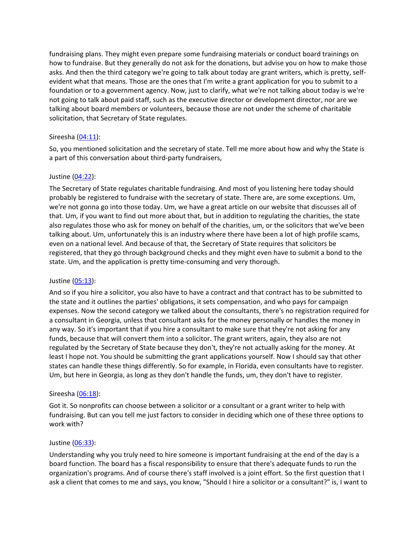fundraising plans. They might even prepare some fundraising materials or conduct board trainings on how to fundraise. But they generally do not ask for the donations, but advise you on how to make those asks. And then the third category we're going to talk about today are grant writers, which is pretty, selfevident what that means. Those are the ones that I'm write a grant application for you to submit to a foundation or to a government agency. Now, just to clarify, what we're not talking about today is we're not going to talk about paid staff, such as the executive director or development director, nor are we talking about board members or volunteers, because those are not under the scheme of charitable solicitation, that Secretary of State regulates.

## Sireesha [\(04:11\)](https://www.temi.com/editor/t/AqjAB9tSeag1WzGFkgA18z9TDHpH_TFtKa591dsf5fPN6saXBdWTDqB9VftJAVq5uZCQPtiGvF8VYl15AM4oJDO2Jzc?loadFrom=DocumentDeeplink&ts=251.34):

So, you mentioned solicitation and the secretary of state. Tell me more about how and why the State is a part of this conversation about third-party fundraisers,

### Justine [\(04:22\)](https://www.temi.com/editor/t/AqjAB9tSeag1WzGFkgA18z9TDHpH_TFtKa591dsf5fPN6saXBdWTDqB9VftJAVq5uZCQPtiGvF8VYl15AM4oJDO2Jzc?loadFrom=DocumentDeeplink&ts=262.41):

The Secretary of State regulates charitable fundraising. And most of you listening here today should probably be registered to fundraise with the secretary of state. There are, are some exceptions. Um, we're not gonna go into those today. Um, we have a great article on our website that discusses all of that. Um, if you want to find out more about that, but in addition to regulating the charities, the state also regulates those who ask for money on behalf of the charities, um, or the solicitors that we've been talking about. Um, unfortunately this is an industry where there have been a lot of high profile scams, even on a national level. And because of that, the Secretary of State requires that solicitors be registered, that they go through background checks and they might even have to submit a bond to the state. Um, and the application is pretty time-consuming and very thorough.

#### Justine [\(05:13\)](https://www.temi.com/editor/t/AqjAB9tSeag1WzGFkgA18z9TDHpH_TFtKa591dsf5fPN6saXBdWTDqB9VftJAVq5uZCQPtiGvF8VYl15AM4oJDO2Jzc?loadFrom=DocumentDeeplink&ts=313.77):

And so if you hire a solicitor, you also have to have a contract and that contract has to be submitted to the state and it outlines the parties' obligations, it sets compensation, and who pays for campaign expenses. Now the second category we talked about the consultants, there's no registration required for a consultant in Georgia, unless that consultant asks for the money personally or handles the money in any way. So it's important that if you hire a consultant to make sure that they're not asking for any funds, because that will convert them into a solicitor. The grant writers, again, they also are not regulated by the Secretary of State because they don't, they're not actually asking for the money. At least I hope not. You should be submitting the grant applications yourself. Now I should say that other states can handle these things differently. So for example, in Florida, even consultants have to register. Um, but here in Georgia, as long as they don't handle the funds, um, they don't have to register.

#### Sireesha [\(06:18\)](https://www.temi.com/editor/t/AqjAB9tSeag1WzGFkgA18z9TDHpH_TFtKa591dsf5fPN6saXBdWTDqB9VftJAVq5uZCQPtiGvF8VYl15AM4oJDO2Jzc?loadFrom=DocumentDeeplink&ts=378.4):

Got it. So nonprofits can choose between a solicitor or a consultant or a grant writer to help with fundraising. But can you tell me just factors to consider in deciding which one of these three options to work with?

#### Justine [\(06:33\)](https://www.temi.com/editor/t/AqjAB9tSeag1WzGFkgA18z9TDHpH_TFtKa591dsf5fPN6saXBdWTDqB9VftJAVq5uZCQPtiGvF8VYl15AM4oJDO2Jzc?loadFrom=DocumentDeeplink&ts=393.13):

Understanding why you truly need to hire someone is important fundraising at the end of the day is a board function. The board has a fiscal responsibility to ensure that there's adequate funds to run the organization's programs. And of course there's staff involved is a joint effort. So the first question that I ask a client that comes to me and says, you know, "Should I hire a solicitor or a consultant?" is, I want to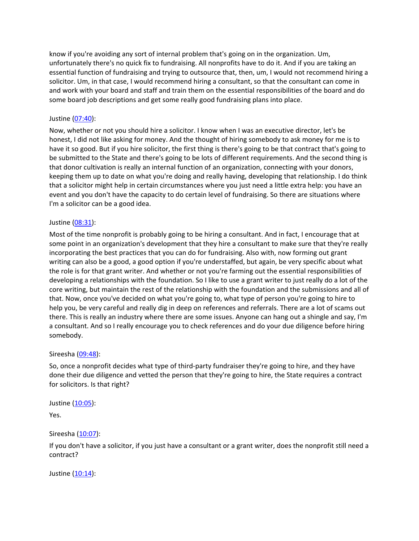know if you're avoiding any sort of internal problem that's going on in the organization. Um, unfortunately there's no quick fix to fundraising. All nonprofits have to do it. And if you are taking an essential function of fundraising and trying to outsource that, then, um, I would not recommend hiring a solicitor. Um, in that case, I would recommend hiring a consultant, so that the consultant can come in and work with your board and staff and train them on the essential responsibilities of the board and do some board job descriptions and get some really good fundraising plans into place.

## Justine [\(07:40\)](https://www.temi.com/editor/t/AqjAB9tSeag1WzGFkgA18z9TDHpH_TFtKa591dsf5fPN6saXBdWTDqB9VftJAVq5uZCQPtiGvF8VYl15AM4oJDO2Jzc?loadFrom=DocumentDeeplink&ts=460.33):

Now, whether or not you should hire a solicitor. I know when I was an executive director, let's be honest, I did not like asking for money. And the thought of hiring somebody to ask money for me is to have it so good. But if you hire solicitor, the first thing is there's going to be that contract that's going to be submitted to the State and there's going to be lots of different requirements. And the second thing is that donor cultivation is really an internal function of an organization, connecting with your donors, keeping them up to date on what you're doing and really having, developing that relationship. I do think that a solicitor might help in certain circumstances where you just need a little extra help: you have an event and you don't have the capacity to do certain level of fundraising. So there are situations where I'm a solicitor can be a good idea.

## Justine [\(08:31\)](https://www.temi.com/editor/t/AqjAB9tSeag1WzGFkgA18z9TDHpH_TFtKa591dsf5fPN6saXBdWTDqB9VftJAVq5uZCQPtiGvF8VYl15AM4oJDO2Jzc?loadFrom=DocumentDeeplink&ts=511.18):

Most of the time nonprofit is probably going to be hiring a consultant. And in fact, I encourage that at some point in an organization's development that they hire a consultant to make sure that they're really incorporating the best practices that you can do for fundraising. Also with, now forming out grant writing can also be a good, a good option if you're understaffed, but again, be very specific about what the role is for that grant writer. And whether or not you're farming out the essential responsibilities of developing a relationships with the foundation. So I like to use a grant writer to just really do a lot of the core writing, but maintain the rest of the relationship with the foundation and the submissions and all of that. Now, once you've decided on what you're going to, what type of person you're going to hire to help you, be very careful and really dig in deep on references and referrals. There are a lot of scams out there. This is really an industry where there are some issues. Anyone can hang out a shingle and say, I'm a consultant. And so I really encourage you to check references and do your due diligence before hiring somebody.

#### Sireesha [\(09:48\)](https://www.temi.com/editor/t/AqjAB9tSeag1WzGFkgA18z9TDHpH_TFtKa591dsf5fPN6saXBdWTDqB9VftJAVq5uZCQPtiGvF8VYl15AM4oJDO2Jzc?loadFrom=DocumentDeeplink&ts=588.71):

So, once a nonprofit decides what type of third-party fundraiser they're going to hire, and they have done their due diligence and vetted the person that they're going to hire, the State requires a contract for solicitors. Is that right?

Justine [\(10:05\)](https://www.temi.com/editor/t/AqjAB9tSeag1WzGFkgA18z9TDHpH_TFtKa591dsf5fPN6saXBdWTDqB9VftJAVq5uZCQPtiGvF8VYl15AM4oJDO2Jzc?loadFrom=DocumentDeeplink&ts=605.87):

Yes.

Sireesha [\(10:07\)](https://www.temi.com/editor/t/AqjAB9tSeag1WzGFkgA18z9TDHpH_TFtKa591dsf5fPN6saXBdWTDqB9VftJAVq5uZCQPtiGvF8VYl15AM4oJDO2Jzc?loadFrom=DocumentDeeplink&ts=607.25):

If you don't have a solicitor, if you just have a consultant or a grant writer, does the nonprofit still need a contract?

Justine [\(10:14\)](https://www.temi.com/editor/t/AqjAB9tSeag1WzGFkgA18z9TDHpH_TFtKa591dsf5fPN6saXBdWTDqB9VftJAVq5uZCQPtiGvF8VYl15AM4oJDO2Jzc?loadFrom=DocumentDeeplink&ts=614.69):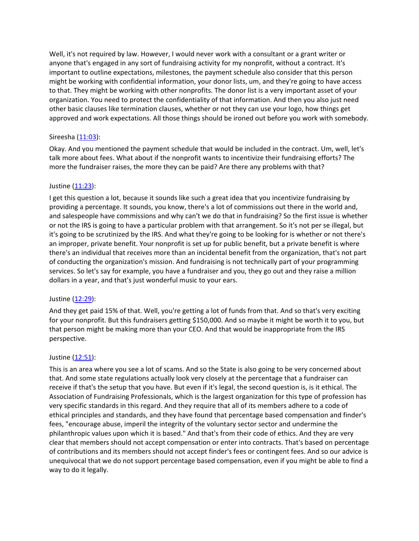Well, it's not required by law. However, I would never work with a consultant or a grant writer or anyone that's engaged in any sort of fundraising activity for my nonprofit, without a contract. It's important to outline expectations, milestones, the payment schedule also consider that this person might be working with confidential information, your donor lists, um, and they're going to have access to that. They might be working with other nonprofits. The donor list is a very important asset of your organization. You need to protect the confidentiality of that information. And then you also just need other basic clauses like termination clauses, whether or not they can use your logo, how things get approved and work expectations. All those things should be ironed out before you work with somebody.

## Sireesha [\(11:03\)](https://www.temi.com/editor/t/AqjAB9tSeag1WzGFkgA18z9TDHpH_TFtKa591dsf5fPN6saXBdWTDqB9VftJAVq5uZCQPtiGvF8VYl15AM4oJDO2Jzc?loadFrom=DocumentDeeplink&ts=663.29):

Okay. And you mentioned the payment schedule that would be included in the contract. Um, well, let's talk more about fees. What about if the nonprofit wants to incentivize their fundraising efforts? The more the fundraiser raises, the more they can be paid? Are there any problems with that?

### Justine [\(11:23\)](https://www.temi.com/editor/t/AqjAB9tSeag1WzGFkgA18z9TDHpH_TFtKa591dsf5fPN6saXBdWTDqB9VftJAVq5uZCQPtiGvF8VYl15AM4oJDO2Jzc?loadFrom=DocumentDeeplink&ts=683.67):

I get this question a lot, because it sounds like such a great idea that you incentivize fundraising by providing a percentage. It sounds, you know, there's a lot of commissions out there in the world and, and salespeople have commissions and why can't we do that in fundraising? So the first issue is whether or not the IRS is going to have a particular problem with that arrangement. So it's not per se illegal, but it's going to be scrutinized by the IRS. And what they're going to be looking for is whether or not there's an improper, private benefit. Your nonprofit is set up for public benefit, but a private benefit is where there's an individual that receives more than an incidental benefit from the organization, that's not part of conducting the organization's mission. And fundraising is not technically part of your programming services. So let's say for example, you have a fundraiser and you, they go out and they raise a million dollars in a year, and that's just wonderful music to your ears.

#### Justine [\(12:29\)](https://www.temi.com/editor/t/AqjAB9tSeag1WzGFkgA18z9TDHpH_TFtKa591dsf5fPN6saXBdWTDqB9VftJAVq5uZCQPtiGvF8VYl15AM4oJDO2Jzc?loadFrom=DocumentDeeplink&ts=749.32):

And they get paid 15% of that. Well, you're getting a lot of funds from that. And so that's very exciting for your nonprofit. But this fundraisers getting \$150,000. And so maybe it might be worth it to you, but that person might be making more than your CEO. And that would be inappropriate from the IRS perspective.

#### Justine [\(12:51\)](https://www.temi.com/editor/t/AqjAB9tSeag1WzGFkgA18z9TDHpH_TFtKa591dsf5fPN6saXBdWTDqB9VftJAVq5uZCQPtiGvF8VYl15AM4oJDO2Jzc?loadFrom=DocumentDeeplink&ts=771.97):

This is an area where you see a lot of scams. And so the State is also going to be very concerned about that. And some state regulations actually look very closely at the percentage that a fundraiser can receive if that's the setup that you have. But even if it's legal, the second question is, is it ethical. The Association of Fundraising Professionals, which is the largest organization for this type of profession has very specific standards in this regard. And they require that all of its members adhere to a code of ethical principles and standards, and they have found that percentage based compensation and finder's fees, "encourage abuse, imperil the integrity of the voluntary sector sector and undermine the philanthropic values upon which it is based." And that's from their code of ethics. And they are very clear that members should not accept compensation or enter into contracts. That's based on percentage of contributions and its members should not accept finder's fees or contingent fees. And so our advice is unequivocal that we do not support percentage based compensation, even if you might be able to find a way to do it legally.